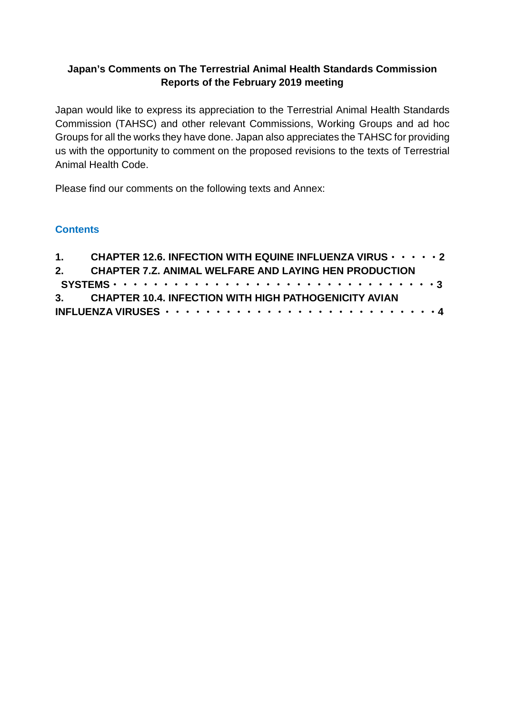## **Japan's Comments on The Terrestrial Animal Health Standards Commission Reports of the February 2019 meeting**

Japan would like to express its appreciation to the Terrestrial Animal Health Standards Commission (TAHSC) and other relevant Commissions, Working Groups and ad hoc Groups for all the works they have done. Japan also appreciates the TAHSC for providing us with the opportunity to comment on the proposed revisions to the texts of Terrestrial Animal Health Code.

Please find our comments on the following texts and Annex:

#### **Contents**

|  | 1. CHAPTER 12.6. INFECTION WITH EQUINE INFLUENZA VIRUS · · · · · 2 |
|--|--------------------------------------------------------------------|
|  | 2. CHAPTER 7.Z. ANIMAL WELFARE AND LAYING HEN PRODUCTION           |
|  |                                                                    |
|  | 3. CHAPTER 10.4. INFECTION WITH HIGH PATHOGENICITY AVIAN           |
|  |                                                                    |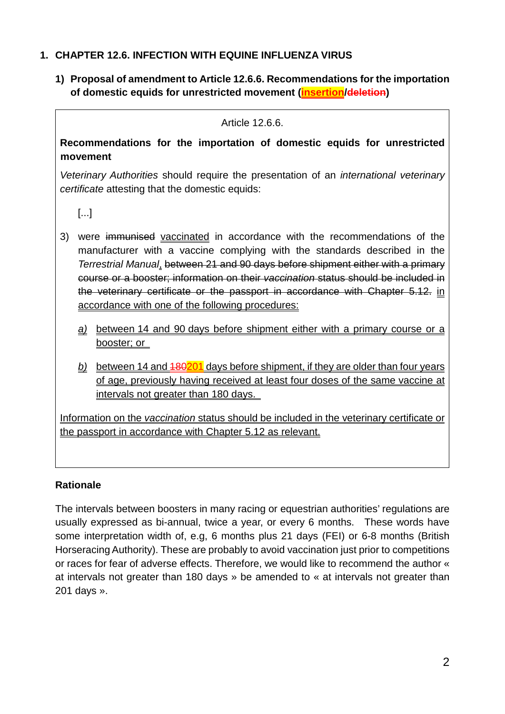## **1. CHAPTER 12.6. INFECTION WITH EQUINE INFLUENZA VIRUS**

**1) Proposal of amendment to Article 12.6.6. Recommendations for the importation of domestic equids for unrestricted movement (insertion/deletion)** 

Article 12.6.6.

**Recommendations for the importation of domestic equids for unrestricted movement**

*Veterinary Authorities* should require the presentation of an *international veterinary certificate* attesting that the domestic equids:

[...]

- 3) were immunised vaccinated in accordance with the recommendations of the manufacturer with a vaccine complying with the standards described in the *Terrestrial Manual*, between 21 and 90 days before shipment either with a primary course or a booster; information on their *vaccination* status should be included in the veterinary certificate or the passport in accordance with Chapter 5.12. in accordance with one of the following procedures:
	- *a)* between 14 and 90 days before shipment either with a primary course or a booster; or
	- *b)* between 14 and 180201 days before shipment, if they are older than four years of age, previously having received at least four doses of the same vaccine at intervals not greater than 180 days.

Information on the *vaccination* status should be included in the veterinary certificate or the passport in accordance with Chapter 5.12 as relevant.

### **Rationale**

The intervals between boosters in many racing or equestrian authorities' regulations are usually expressed as bi-annual, twice a year, or every 6 months. These words have some interpretation width of, e.g, 6 months plus 21 days (FEI) or 6-8 months (British Horseracing Authority). These are probably to avoid vaccination just prior to competitions or races for fear of adverse effects. Therefore, we would like to recommend the author « at intervals not greater than 180 days » be amended to « at intervals not greater than 201 days ».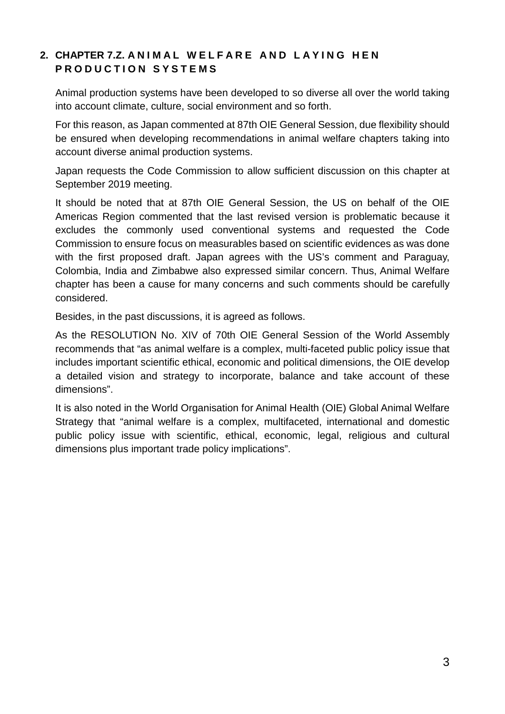# **2. CHAPTER 7.Z. ANIMAL WELFARE AND LAYING HEN PRODUCTION SYSTEMS**

Animal production systems have been developed to so diverse all over the world taking into account climate, culture, social environment and so forth.

For this reason, as Japan commented at 87th OIE General Session, due flexibility should be ensured when developing recommendations in animal welfare chapters taking into account diverse animal production systems.

Japan requests the Code Commission to allow sufficient discussion on this chapter at September 2019 meeting.

It should be noted that at 87th OIE General Session, the US on behalf of the OIE Americas Region commented that the last revised version is problematic because it excludes the commonly used conventional systems and requested the Code Commission to ensure focus on measurables based on scientific evidences as was done with the first proposed draft. Japan agrees with the US's comment and Paraguay, Colombia, India and Zimbabwe also expressed similar concern. Thus, Animal Welfare chapter has been a cause for many concerns and such comments should be carefully considered.

Besides, in the past discussions, it is agreed as follows.

As the RESOLUTION No. XIV of 70th OIE General Session of the World Assembly recommends that "as animal welfare is a complex, multi-faceted public policy issue that includes important scientific ethical, economic and political dimensions, the OIE develop a detailed vision and strategy to incorporate, balance and take account of these dimensions".

It is also noted in the World Organisation for Animal Health (OIE) Global Animal Welfare Strategy that "animal welfare is a complex, multifaceted, international and domestic public policy issue with scientific, ethical, economic, legal, religious and cultural dimensions plus important trade policy implications".